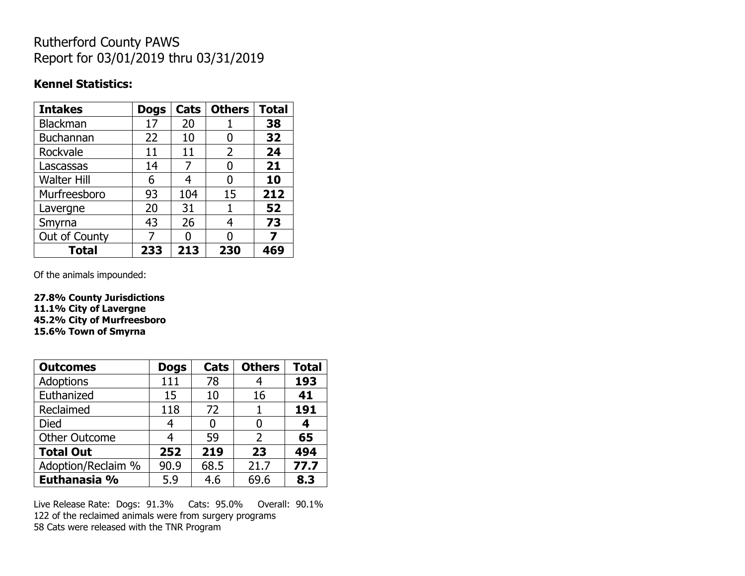## Rutherford County PAWS Report for 03/01/2019 thru 03/31/2019

#### **Kennel Statistics:**

| <b>Intakes</b>     | <b>Dogs</b> | Cats | <b>Others</b> | <b>Total</b> |
|--------------------|-------------|------|---------------|--------------|
| Blackman           | 17          | 20   |               | 38           |
| Buchannan          | 22          | 10   | O             | 32           |
| Rockvale           | 11          | 11   | 2             | 24           |
| Lascassas          | 14          | 7    | O             | 21           |
| <b>Walter Hill</b> | 6           | 4    | 0             | 10           |
| Murfreesboro       | 93          | 104  | 15            | 212          |
| Lavergne           | 20          | 31   | 1             | 52           |
| Smyrna             | 43          | 26   | 4             | 73           |
| Out of County      | 7           | n    | 0             | 7            |
| <b>Total</b>       | 233         | 213  | 230           | 469          |

Of the animals impounded:

**27.8% County Jurisdictions 11.1% City of Lavergne 45.2% City of Murfreesboro 15.6% Town of Smyrna**

| <b>Outcomes</b>      | <b>Dogs</b> | Cats | <b>Others</b> | <b>Total</b> |
|----------------------|-------------|------|---------------|--------------|
| Adoptions            | 111         | 78   |               | 193          |
| Euthanized           | 15          | 10   | 16            | 41           |
| Reclaimed            | 118         | 72   |               | 191          |
| Died                 | 4           |      |               | 4            |
| <b>Other Outcome</b> | 4           | 59   | 2             | 65           |
| <b>Total Out</b>     | 252         | 219  | 23            | 494          |
| Adoption/Reclaim %   | 90.9        | 68.5 | 21.7          | 77.7         |
| Euthanasia %         | 5.9         | 4.6  | 69.6          | 8.3          |

Live Release Rate: Dogs: 91.3% Cats: 95.0% Overall: 90.1% 122 of the reclaimed animals were from surgery programs 58 Cats were released with the TNR Program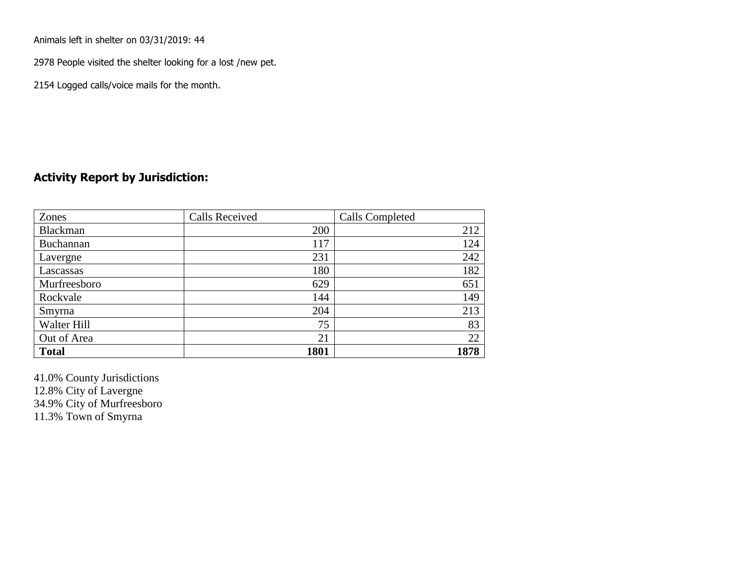Animals left in shelter on 03/31/2019: 44

2978 People visited the shelter looking for a lost /new pet.

2154 Logged calls/voice mails for the month.

#### **Activity Report by Jurisdiction:**

| Zones           | <b>Calls Received</b> | Calls Completed |
|-----------------|-----------------------|-----------------|
| <b>Blackman</b> | 200                   | 212             |
| Buchannan       | 117                   | 124             |
| Lavergne        | 231                   | 242             |
| Lascassas       | 180                   | 182             |
| Murfreesboro    | 629                   | 651             |
| Rockvale        | 144                   | 149             |
| Smyrna          | 204                   | 213             |
| Walter Hill     | 75                    | 83              |
| Out of Area     | 21                    | 22              |
| <b>Total</b>    | 1801                  | 1878            |

41.0% County Jurisdictions 12.8% City of Lavergne 34.9% City of Murfreesboro 11.3% Town of Smyrna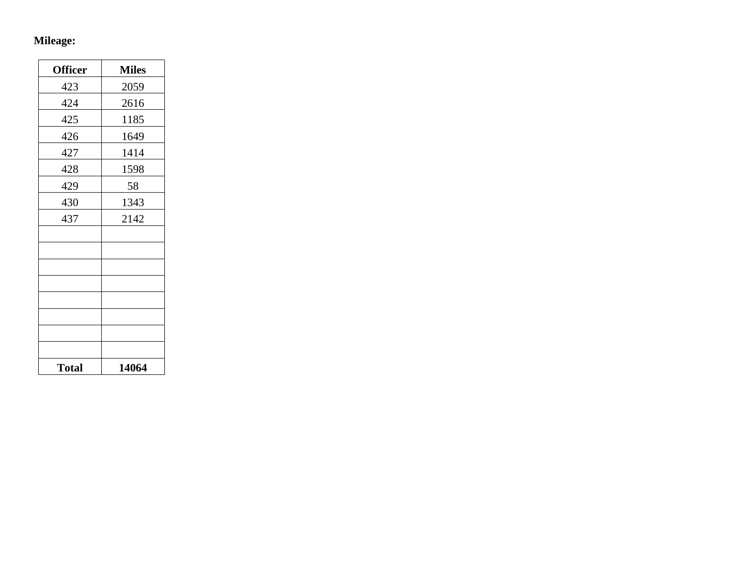# **Mileage:**

| <b>Officer</b> | <b>Miles</b> |
|----------------|--------------|
| 423            | 2059         |
| 424            | 2616         |
| 425            | 1185         |
| 426            | 1649         |
| 427            | 1414         |
| 428            | 1598         |
| 429            | 58           |
| 430            | 1343         |
| 437            | 2142         |
|                |              |
|                |              |
|                |              |
|                |              |
|                |              |
|                |              |
|                |              |
|                |              |
| <b>Total</b>   | 14064        |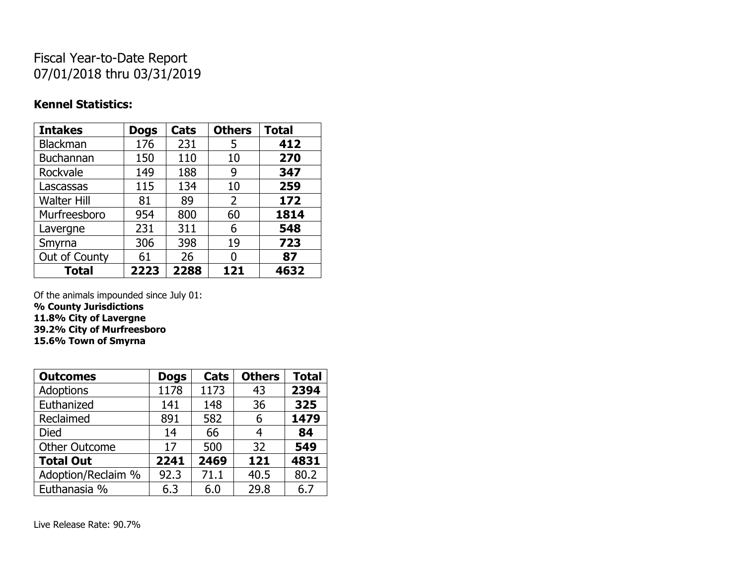## Fiscal Year-to-Date Report 07/01/2018 thru 03/31/2019

### **Kennel Statistics:**

| <b>Intakes</b>     | <b>Dogs</b> | Cats | <b>Others</b> | <b>Total</b> |
|--------------------|-------------|------|---------------|--------------|
| Blackman           | 176         | 231  | 5             | 412          |
| Buchannan          | 150         | 110  | 10            | 270          |
| Rockvale           | 149         | 188  | 9             | 347          |
| Lascassas          | 115         | 134  | 10            | 259          |
| <b>Walter Hill</b> | 81          | 89   | 2             | 172          |
| Murfreesboro       | 954         | 800  | 60            | 1814         |
| Lavergne           | 231         | 311  | 6             | 548          |
| Smyrna             | 306         | 398  | 19            | 723          |
| Out of County      | 61          | 26   | 0             | 87           |
| <b>Total</b>       | 2223        | 2288 | 121           | 4632         |

Of the animals impounded since July 01:

**% County Jurisdictions**

**11.8% City of Lavergne**

**39.2% City of Murfreesboro**

**15.6% Town of Smyrna**

| <b>Outcomes</b>      | <b>Dogs</b> | Cats | <b>Others</b> | <b>Total</b> |
|----------------------|-------------|------|---------------|--------------|
| <b>Adoptions</b>     | 1178        | 1173 | 43            | 2394         |
| Euthanized           | 141         | 148  | 36            | 325          |
| Reclaimed            | 891         | 582  | 6             | 1479         |
| Died                 | 14          | 66   | 4             | 84           |
| <b>Other Outcome</b> | 17          | 500  | 32            | 549          |
| <b>Total Out</b>     | 2241        | 2469 | 121           | 4831         |
| Adoption/Reclaim %   | 92.3        | 71.1 | 40.5          | 80.2         |
| Euthanasia %         | 6.3         | 6.0  | 29.8          | 6.7          |

Live Release Rate: 90.7%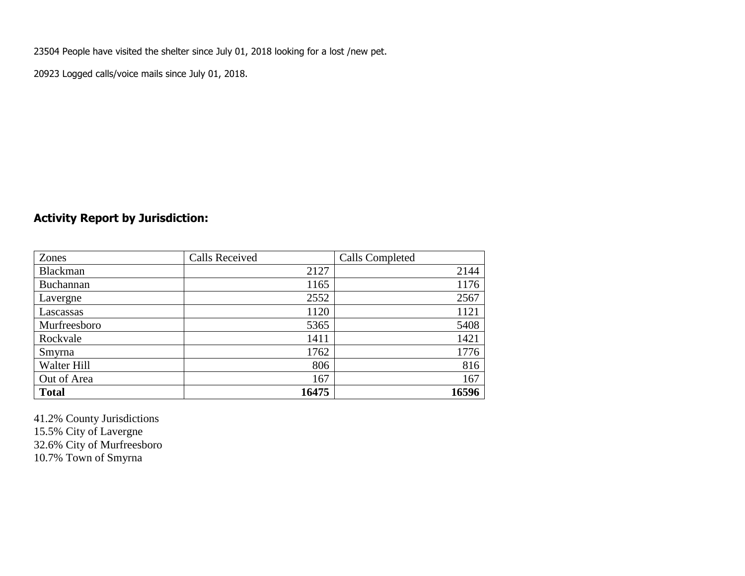23504 People have visited the shelter since July 01, 2018 looking for a lost /new pet.

20923 Logged calls/voice mails since July 01, 2018.

### **Activity Report by Jurisdiction:**

| Zones           | <b>Calls Received</b> | Calls Completed |
|-----------------|-----------------------|-----------------|
| <b>Blackman</b> | 2127                  | 2144            |
| Buchannan       | 1165                  | 1176            |
| Lavergne        | 2552                  | 2567            |
| Lascassas       | 1120                  | 1121            |
| Murfreesboro    | 5365                  | 5408            |
| Rockvale        | 1411                  | 1421            |
| Smyrna          | 1762                  | 1776            |
| Walter Hill     | 806                   | 816             |
| Out of Area     | 167                   | 167             |
| <b>Total</b>    | 16475                 | 16596           |

41.2% County Jurisdictions 15.5% City of Lavergne 32.6% City of Murfreesboro 10.7% Town of Smyrna